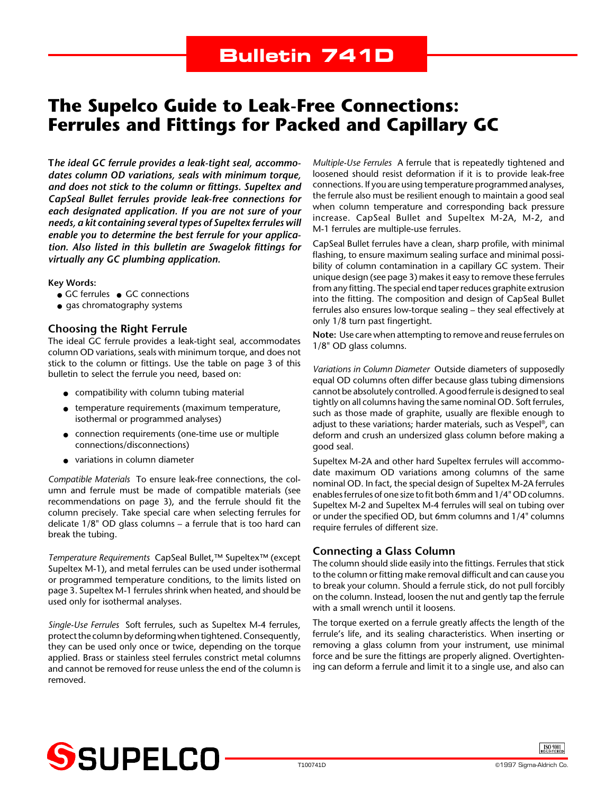### **The Supelco Guide to Leak-Free Connections: Ferrules and Fittings for Packed and Capillary GC**

**T***he ideal GC ferrule provides a leak-tight seal, accommodates column OD variations, seals with minimum torque, and does not stick to the column or fittings. Supeltex and CapSeal Bullet ferrules provide leak-free connections for each designated application. If you are not sure of your needs, a kit containing several types of Supeltex ferrules will enable you to determine the best ferrule for your application. Also listed in this bulletin are Swagelok fittings for virtually any GC plumbing application.*

#### **Key Words:**

- GC ferrules GC connections
- gas chromatography systems

#### **Choosing the Right Ferrule**

The ideal GC ferrule provides a leak-tight seal, accommodates column OD variations, seals with minimum torque, and does not stick to the column or fittings. Use the table on page 3 of this bulletin to select the ferrule you need, based on:

- compatibility with column tubing material
- temperature requirements (maximum temperature, isothermal or programmed analyses)
- connection requirements (one-time use or multiple connections/disconnections)
- variations in column diameter

*Compatible Materials* To ensure leak-free connections, the column and ferrule must be made of compatible materials (see recommendations on page 3), and the ferrule should fit the column precisely. Take special care when selecting ferrules for delicate 1/8" OD glass columns – a ferrule that is too hard can break the tubing.

*Temperature Requirements* CapSeal Bullet,™ Supeltex™ (except Supeltex M-1), and metal ferrules can be used under isothermal or programmed temperature conditions, to the limits listed on page 3. Supeltex M-1 ferrules shrink when heated, and should be used only for isothermal analyses.

*Single-Use Ferrules* Soft ferrules, such as Supeltex M-4 ferrules, protect the column by deforming when tightened. Consequently, they can be used only once or twice, depending on the torque applied. Brass or stainless steel ferrules constrict metal columns and cannot be removed for reuse unless the end of the column is removed.

*Multiple-Use Ferrules* A ferrule that is repeatedly tightened and loosened should resist deformation if it is to provide leak-free connections. If you are using temperature programmed analyses, the ferrule also must be resilient enough to maintain a good seal when column temperature and corresponding back pressure increase. CapSeal Bullet and Supeltex M-2A, M-2, and M-1 ferrules are multiple-use ferrules.

CapSeal Bullet ferrules have a clean, sharp profile, with minimal flashing, to ensure maximum sealing surface and minimal possibility of column contamination in a capillary GC system. Their unique design (see page 3) makes it easy to remove these ferrules from any fitting. The special end taper reduces graphite extrusion into the fitting. The composition and design of CapSeal Bullet ferrules also ensures low-torque sealing – they seal effectively at only 1/8 turn past fingertight.

**Note:** Use care when attempting to remove and reuse ferrules on 1/8" OD glass columns.

*Variations in Column Diameter* Outside diameters of supposedly equal OD columns often differ because glass tubing dimensions cannot be absolutely controlled. A good ferrule is designed to seal tightly on all columns having the same nominal OD. Soft ferrules, such as those made of graphite, usually are flexible enough to adjust to these variations; harder materials, such as Vespel®, can deform and crush an undersized glass column before making a good seal.

Supeltex M-2A and other hard Supeltex ferrules will accommodate maximum OD variations among columns of the same nominal OD. In fact, the special design of Supeltex M-2A ferrules enables ferrules of one size to fit both 6mm and 1/4" OD columns. Supeltex M-2 and Supeltex M-4 ferrules will seal on tubing over or under the specified OD, but 6mm columns and 1/4" columns require ferrules of different size.

#### **Connecting a Glass Column**

The column should slide easily into the fittings. Ferrules that stick to the column or fitting make removal difficult and can cause you to break your column. Should a ferrule stick, do not pull forcibly on the column. Instead, loosen the nut and gently tap the ferrule with a small wrench until it loosens.

The torque exerted on a ferrule greatly affects the length of the ferrule's life, and its sealing characteristics. When inserting or removing a glass column from your instrument, use minimal force and be sure the fittings are properly aligned. Overtightening can deform a ferrule and limit it to a single use, and also can



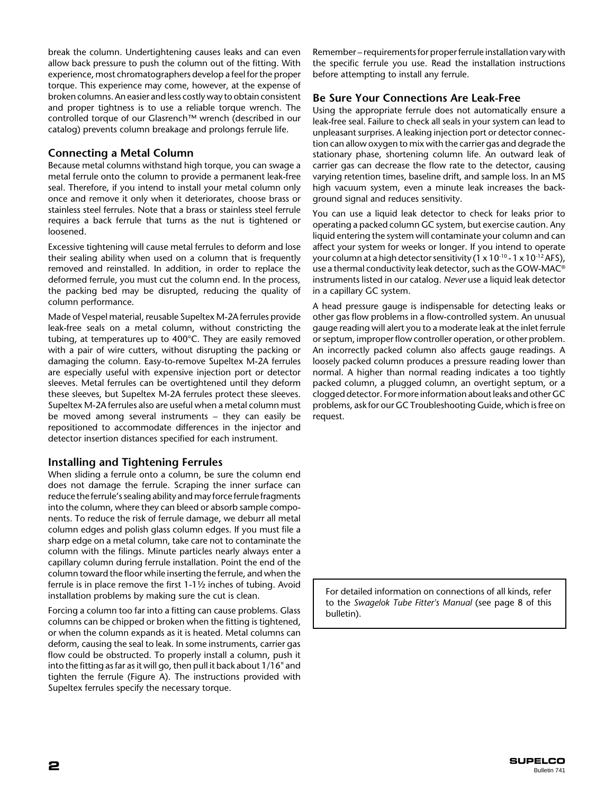break the column. Undertightening causes leaks and can even allow back pressure to push the column out of the fitting. With experience, most chromatographers develop a feel for the proper torque. This experience may come, however, at the expense of broken columns. An easier and less costly way to obtain consistent and proper tightness is to use a reliable torque wrench. The controlled torque of our Glasrench™ wrench (described in our catalog) prevents column breakage and prolongs ferrule life.

#### **Connecting a Metal Column**

Because metal columns withstand high torque, you can swage a metal ferrule onto the column to provide a permanent leak-free seal. Therefore, if you intend to install your metal column only once and remove it only when it deteriorates, choose brass or stainless steel ferrules. Note that a brass or stainless steel ferrule requires a back ferrule that turns as the nut is tightened or loosened.

Excessive tightening will cause metal ferrules to deform and lose their sealing ability when used on a column that is frequently removed and reinstalled. In addition, in order to replace the deformed ferrule, you must cut the column end. In the process, the packing bed may be disrupted, reducing the quality of column performance.

Made of Vespel material, reusable Supeltex M-2A ferrules provide leak-free seals on a metal column, without constricting the tubing, at temperatures up to 400°C. They are easily removed with a pair of wire cutters, without disrupting the packing or damaging the column. Easy-to-remove Supeltex M-2A ferrules are especially useful with expensive injection port or detector sleeves. Metal ferrules can be overtightened until they deform these sleeves, but Supeltex M-2A ferrules protect these sleeves. Supeltex M-2A ferrules also are useful when a metal column must be moved among several instruments – they can easily be repositioned to accommodate differences in the injector and detector insertion distances specified for each instrument.

#### **Installing and Tightening Ferrules**

When sliding a ferrule onto a column, be sure the column end does not damage the ferrule. Scraping the inner surface can reduce the ferrule's sealing ability and may force ferrule fragments into the column, where they can bleed or absorb sample components. To reduce the risk of ferrule damage, we deburr all metal column edges and polish glass column edges. If you must file a sharp edge on a metal column, take care not to contaminate the column with the filings. Minute particles nearly always enter a capillary column during ferrule installation. Point the end of the column toward the floor while inserting the ferrule, and when the ferrule is in place remove the first 1-1½ inches of tubing. Avoid installation problems by making sure the cut is clean.

Forcing a column too far into a fitting can cause problems. Glass columns can be chipped or broken when the fitting is tightened, or when the column expands as it is heated. Metal columns can deform, causing the seal to leak. In some instruments, carrier gas flow could be obstructed. To properly install a column, push it into the fitting as far as it will go, then pull it back about 1/16" and tighten the ferrule (Figure A). The instructions provided with Supeltex ferrules specify the necessary torque.

Remember – requirements for proper ferrule installation vary with the specific ferrule you use. Read the installation instructions before attempting to install any ferrule.

#### **Be Sure Your Connections Are Leak-Free**

Using the appropriate ferrule does not automatically ensure a leak-free seal. Failure to check all seals in your system can lead to unpleasant surprises. A leaking injection port or detector connection can allow oxygen to mix with the carrier gas and degrade the stationary phase, shortening column life. An outward leak of carrier gas can decrease the flow rate to the detector, causing varying retention times, baseline drift, and sample loss. In an MS high vacuum system, even a minute leak increases the background signal and reduces sensitivity.

You can use a liquid leak detector to check for leaks prior to operating a packed column GC system, but exercise caution. Any liquid entering the system will contaminate your column and can affect your system for weeks or longer. If you intend to operate your column at a high detector sensitivity (1 x  $10^{-10}$  - 1 x  $10^{-12}$  AFS), use a thermal conductivity leak detector, such as the GOW-MAC® instruments listed in our catalog. *Never* use a liquid leak detector in a capillary GC system.

A head pressure gauge is indispensable for detecting leaks or other gas flow problems in a flow-controlled system. An unusual gauge reading will alert you to a moderate leak at the inlet ferrule or septum, improper flow controller operation, or other problem. An incorrectly packed column also affects gauge readings. A loosely packed column produces a pressure reading lower than normal. A higher than normal reading indicates a too tightly packed column, a plugged column, an overtight septum, or a clogged detector. For more information about leaks and other GC problems, ask for our GC Troubleshooting Guide, which is free on request.

For detailed information on connections of all kinds, refer to the *Swagelok Tube Fitter's Manual* (see page 8 of this bulletin).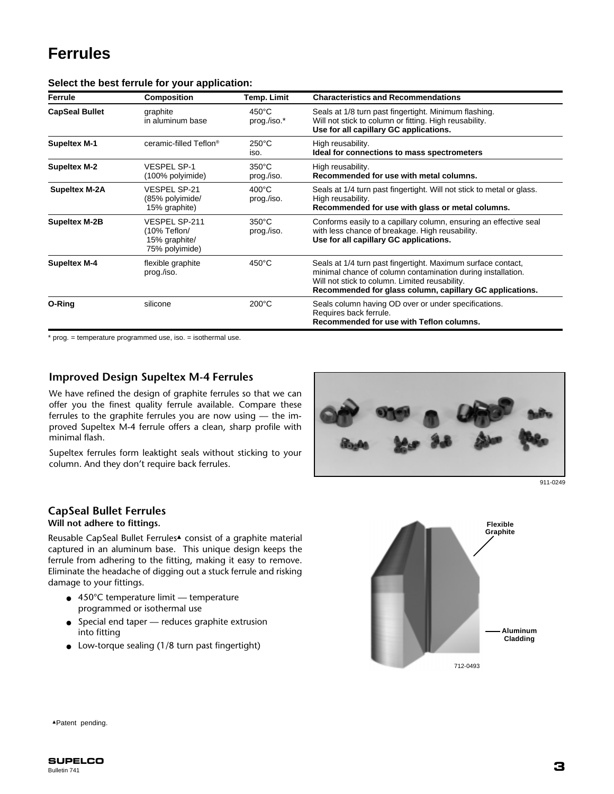## **Ferrules**

| Ferrule               | Composition                                                             | Temp. Limit                    | <b>Characteristics and Recommendations</b>                                                                                                                                                                                                |
|-----------------------|-------------------------------------------------------------------------|--------------------------------|-------------------------------------------------------------------------------------------------------------------------------------------------------------------------------------------------------------------------------------------|
| <b>CapSeal Bullet</b> | graphite<br>in aluminum base                                            | $450^{\circ}$ C<br>prog./iso.* | Seals at 1/8 turn past fingertight. Minimum flashing.<br>Will not stick to column or fitting. High reusability.<br>Use for all capillary GC applications.                                                                                 |
| <b>Supeltex M-1</b>   | ceramic-filled Teflon <sup>®</sup>                                      | $250^{\circ}$ C<br>iso.        | High reusability.<br>Ideal for connections to mass spectrometers                                                                                                                                                                          |
| <b>Supeltex M-2</b>   | <b>VESPEL SP-1</b><br>(100% polyimide)                                  | $350^{\circ}$ C<br>prog./iso.  | High reusability.<br>Recommended for use with metal columns.                                                                                                                                                                              |
| <b>Supeltex M-2A</b>  | <b>VESPEL SP-21</b><br>(85% polyimide/<br>15% graphite)                 | $400^{\circ}$ C<br>prog./iso.  | Seals at 1/4 turn past fingertight. Will not stick to metal or glass.<br>High reusability.<br>Recommended for use with glass or metal columns.                                                                                            |
| <b>Supeltex M-2B</b>  | <b>VESPEL SP-211</b><br>(10% Teflon/<br>15% graphite/<br>75% polyimide) | $350^{\circ}$ C<br>prog./iso.  | Conforms easily to a capillary column, ensuring an effective seal<br>with less chance of breakage. High reusability.<br>Use for all capillary GC applications.                                                                            |
| <b>Supeltex M-4</b>   | flexible graphite<br>prog./iso.                                         | $450^{\circ}$ C                | Seals at 1/4 turn past fingertight. Maximum surface contact,<br>minimal chance of column contamination during installation.<br>Will not stick to column. Limited reusability.<br>Recommended for glass column, capillary GC applications. |
| O-Ring                | silicone                                                                | $200^{\circ}$ C                | Seals column having OD over or under specifications.<br>Requires back ferrule.<br>Recommended for use with Teflon columns.                                                                                                                |

#### **Select the best ferrule for your application:**

\* prog. = temperature programmed use, iso. = isothermal use.

#### **Improved Design Supeltex M-4 Ferrules**

We have refined the design of graphite ferrules so that we can offer you the finest quality ferrule available. Compare these ferrules to the graphite ferrules you are now using — the improved Supeltex M-4 ferrule offers a clean, sharp profile with minimal flash.

Supeltex ferrules form leaktight seals without sticking to your column. And they don't require back ferrules.



 $911 - 0249$ 

#### **CapSeal Bullet Ferrules**

#### **Will not adhere to fittings.**

Reusable CapSeal Bullet Ferrules▲ consist of a graphite material captured in an aluminum base. This unique design keeps the ferrule from adhering to the fitting, making it easy to remove. Eliminate the headache of digging out a stuck ferrule and risking damage to your fittings.

- 450°C temperature limit temperature programmed or isothermal use
- Special end taper reduces graphite extrusion into fitting
- Low-torque sealing (1/8 turn past fingertight)



▲Patent pending.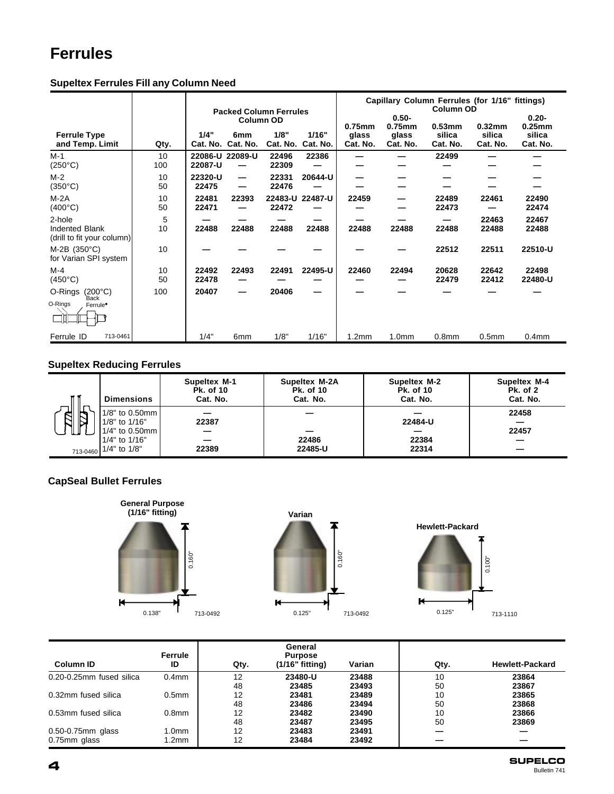## **Ferrules**

|                                                               |           | <b>Packed Column Ferrules</b> |                               |                  | Capillary Column Ferrules (for 1/16" fittings)<br><b>Column OD</b> |                   |                       |                    |                    |                       |
|---------------------------------------------------------------|-----------|-------------------------------|-------------------------------|------------------|--------------------------------------------------------------------|-------------------|-----------------------|--------------------|--------------------|-----------------------|
|                                                               |           |                               | Column OD                     |                  |                                                                    | $0.75$ mm         | $0.50 -$<br>$0.75$ mm | $0.53$ mm          | $0.32$ mm          | $0.20 -$<br>$0.25$ mm |
| <b>Ferrule Type</b><br>and Temp. Limit                        | Qty.      | 1/4"<br>Cat. No.              | 6 <sub>mm</sub><br>Cat. No.   | 1/8"<br>Cat. No. | 1/16"<br>Cat. No.                                                  | glass<br>Cat. No. | glass<br>Cat. No.     | silica<br>Cat. No. | silica<br>Cat. No. | silica<br>Cat. No.    |
| $M-1$<br>$(250^{\circ}C)$                                     | 10<br>100 | 22087-U                       | 22086-U 22089-U               | 22496<br>22309   | 22386                                                              |                   |                       | 22499              |                    |                       |
| $M-2$<br>$(350^{\circ}C)$                                     | 10<br>50  | 22320-U<br>22475              | $\overline{\phantom{0}}$<br>— | 22331<br>22476   | 20644-U                                                            |                   |                       |                    |                    |                       |
| $M-2A$<br>$(400^{\circ}C)$                                    | 10<br>50  | 22481<br>22471                | 22393                         | 22472            | 22483-U 22487-U                                                    | 22459             |                       | 22489<br>22473     | 22461              | 22490<br>22474        |
| 2-hole<br><b>Indented Blank</b><br>(drill to fit your column) | 5<br>10   | 22488                         | 22488                         | 22488            | 22488                                                              | 22488             | 22488                 | 22488              | 22463<br>22488     | 22467<br>22488        |
| $M-2B$ (350°C)<br>for Varian SPI system                       | 10        |                               |                               |                  |                                                                    |                   |                       | 22512              | 22511              | 22510-U               |
| $M-4$<br>$(450^{\circ}C)$                                     | 10<br>50  | 22492<br>22478                | 22493                         | 22491            | 22495-U                                                            | 22460             | 22494                 | 20628<br>22479     | 22642<br>22412     | 22498<br>22480-U      |
| O-Rings<br>(200°C)<br>Back<br>O-Rings<br>Ferrule <sup>*</sup> | 100       | 20407                         | —                             | 20406            |                                                                    |                   |                       |                    |                    |                       |
| Ferrule ID<br>713-0461                                        |           | 1/4"                          | 6mm                           | 1/8"             | 1/16"                                                              | 1.2 <sub>mm</sub> | 1.0 <sub>mm</sub>     | 0.8 <sub>mm</sub>  | 0.5 <sub>mm</sub>  | 0.4 <sub>mm</sub>     |

#### **Supeltex Ferrules Fill any Column Need**

#### **Supeltex Reducing Ferrules**

|                       | <b>Dimensions</b>                 | <b>Supeltex M-1</b><br><b>Pk. of 10</b><br>Cat. No. | <b>Supeltex M-2A</b><br><b>Pk. of 10</b><br>Cat. No. | <b>Supeltex M-2</b><br><b>Pk. of 10</b><br>Cat. No. | Supeltex M-4<br><b>Pk. of 2</b><br>Cat. No. |
|-----------------------|-----------------------------------|-----------------------------------------------------|------------------------------------------------------|-----------------------------------------------------|---------------------------------------------|
| ≂<br>$\triangleright$ | $1/8"$ to 0.50mm<br>1/8" to 1/16" | 22387                                               |                                                      | 22484-U                                             | 22458                                       |
|                       | 1/4" to 0.50mm l<br>1/4" to 1/16" |                                                     | 22486                                                | 22384                                               | 22457                                       |
|                       | 713-0460 1/4" to 1/8"             | 22389                                               | 22485-U                                              | 22314                                               |                                             |

### **CapSeal Bullet Ferrules**







| <b>Column ID</b>         | Ferrule<br>ID     | Qty. | General<br><b>Purpose</b><br>$(1/16"$ fitting) | Varian | Qty. | <b>Hewlett-Packard</b> |
|--------------------------|-------------------|------|------------------------------------------------|--------|------|------------------------|
| 0.20-0.25mm fused silica | 0.4 <sub>mm</sub> | 12   | 23480-U                                        | 23488  | 10   | 23864                  |
|                          |                   | 48   | 23485                                          | 23493  | 50   | 23867                  |
| 0.32mm fused silica      | 0.5 <sub>mm</sub> | 12   | 23481                                          | 23489  | 10   | 23865                  |
|                          |                   | 48   | 23486                                          | 23494  | 50   | 23868                  |
| 0.53mm fused silica      | 0.8 <sub>mm</sub> | 12   | 23482                                          | 23490  | 10   | 23866                  |
|                          |                   | 48   | 23487                                          | 23495  | 50   | 23869                  |
| 0.50-0.75mm glass        | 1.0 <sub>mm</sub> | 12   | 23483                                          | 23491  |      |                        |
| 0.75mm glass             | 1.2mm             | 12   | 23484                                          | 23492  |      |                        |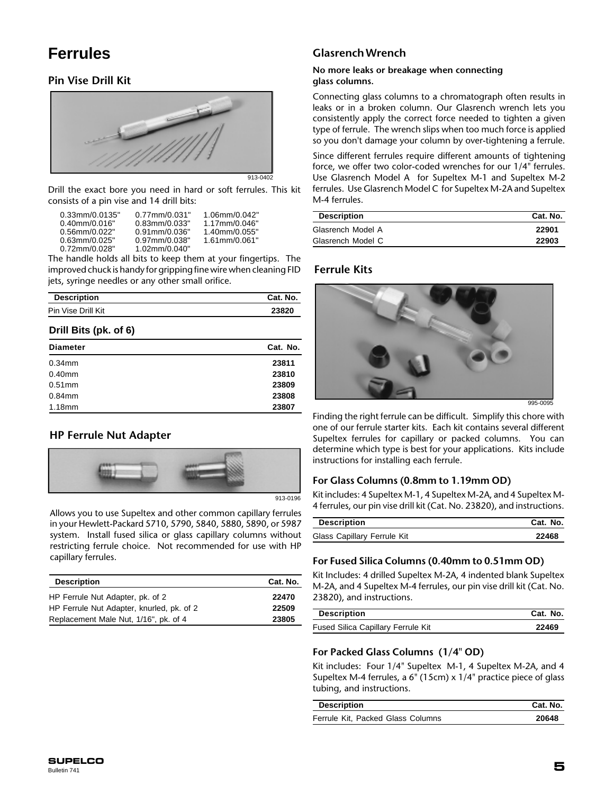### **Ferrules**

#### **Pin Vise Drill Kit**



Drill the exact bore you need in hard or soft ferrules. This kit consists of a pin vise and 14 drill bits:

| $0.33$ mm/ $0.0135"$                    | $0.77$ mm/ $0.031"$               | 1.06mm/0.042"    |
|-----------------------------------------|-----------------------------------|------------------|
| $0.40$ mm/ $0.016"$                     | $0.83$ mm $/0.033"$               | 1.17mm/0.046"    |
| 0.56mm/0.022"                           | $0.91$ mm/ $0.036"$               | $1.40$ mm/0.055" |
| $0.63$ mm $/0.025"$<br>$0.72$ mm/0.028" | 0.97mm/0.038"<br>$1.02$ mm/0.040" | $1.61$ mm/0.061" |

The handle holds all bits to keep them at your fingertips. The improved chuck is handy for gripping fine wire when cleaning FID jets, syringe needles or any other small orifice.

| <b>Description</b> | Cat. No. |
|--------------------|----------|
| Pin Vise Drill Kit | 23820    |

#### **Drill Bits (pk. of 6)**

| <b>Diameter</b> | Cat. No. |
|-----------------|----------|
| $0.34$ mm       | 23811    |
| $0.40$ mm       | 23810    |
| $0.51$ mm       | 23809    |
| $0.84$ mm       | 23808    |
| $1.18$ mm       | 23807    |

#### **HP Ferrule Nut Adapter**



913-0196

Allows you to use Supeltex and other common capillary ferrules in your Hewlett-Packard 5710, 5790, 5840, 5880, 5890, or 5987 system. Install fused silica or glass capillary columns without restricting ferrule choice. Not recommended for use with HP capillary ferrules.

| <b>Description</b>                        | Cat. No. |  |
|-------------------------------------------|----------|--|
| HP Ferrule Nut Adapter, pk. of 2          | 22470    |  |
| HP Ferrule Nut Adapter, knurled, pk. of 2 | 22509    |  |
| Replacement Male Nut, 1/16", pk. of 4     | 23805    |  |

#### **GlasrenchWrench**

#### **No more leaks or breakage when connecting glass columns.**

Connecting glass columns to a chromatograph often results in leaks or in a broken column. Our Glasrench wrench lets you consistently apply the correct force needed to tighten a given type of ferrule. The wrench slips when too much force is applied so you don't damage your column by over-tightening a ferrule.

Since different ferrules require different amounts of tightening force, we offer two color-coded wrenches for our 1/4" ferrules. Use Glasrench Model A for Supeltex M-1 and Supeltex M-2 ferrules. Use Glasrench Model C for Supeltex M-2A and Supeltex M-4 ferrules.

| <b>Description</b> | Cat. No. |
|--------------------|----------|
| Glasrench Model A  | 22901    |
| Glasrench Model C  | 22903    |

#### **Ferrule Kits**



Finding the right ferrule can be difficult. Simplify this chore with one of our ferrule starter kits. Each kit contains several different Supeltex ferrules for capillary or packed columns. You can determine which type is best for your applications. Kits include instructions for installing each ferrule.

#### **For Glass Columns (0.8mm to 1.19mm OD)**

Kit includes: 4 Supeltex M-1, 4 Supeltex M-2A, and 4 Supeltex M-4 ferrules, our pin vise drill kit (Cat. No. 23820), and instructions.

| <b>Description</b>          | Cat. No. |
|-----------------------------|----------|
| Glass Capillary Ferrule Kit | 22468    |

#### **For Fused Silica Columns (0.40mm to 0.51mm OD)**

Kit Includes: 4 drilled Supeltex M-2A, 4 indented blank Supeltex M-2A, and 4 Supeltex M-4 ferrules, our pin vise drill kit (Cat. No. 23820), and instructions.

| <b>Description</b>                 | Cat. No. |
|------------------------------------|----------|
| Fused Silica Capillary Ferrule Kit | 22469    |

#### **For Packed Glass Columns (1/4" OD)**

Kit includes: Four 1/4" Supeltex M-1, 4 Supeltex M-2A, and 4 Supeltex M-4 ferrules, a 6" (15cm) x 1/4" practice piece of glass tubing, and instructions.

| <b>Description</b>                | Cat. No. |
|-----------------------------------|----------|
| Ferrule Kit, Packed Glass Columns | 20648    |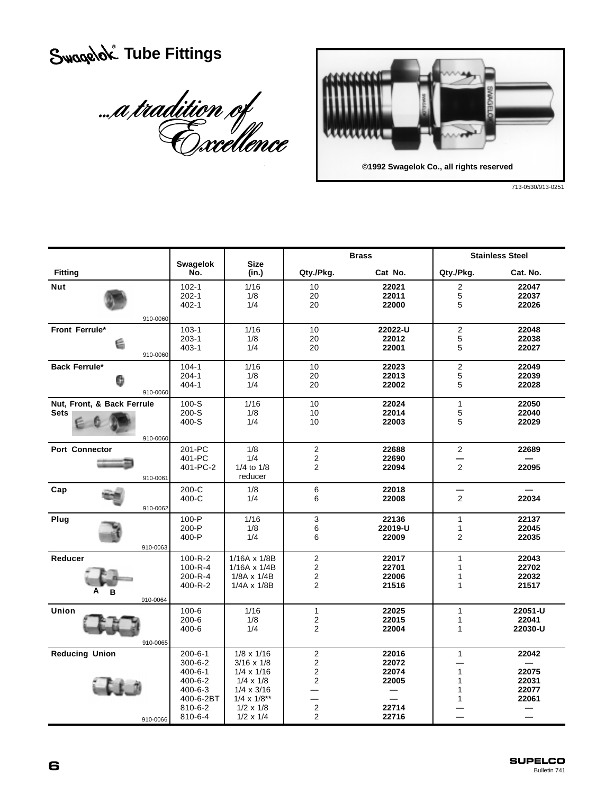# *<u>Swagelok</u>* Tube Fittings

a tradition of



713-0530/913-0251

|                                                       |                                                                                                                |                                                                                                                                                                       | <b>Brass</b>                                                                                                   |                                                    | <b>Stainless Steel</b>                       |                                           |
|-------------------------------------------------------|----------------------------------------------------------------------------------------------------------------|-----------------------------------------------------------------------------------------------------------------------------------------------------------------------|----------------------------------------------------------------------------------------------------------------|----------------------------------------------------|----------------------------------------------|-------------------------------------------|
| <b>Fitting</b>                                        | <b>Swagelok</b><br>No.                                                                                         | <b>Size</b><br>(in.)                                                                                                                                                  | Qty./Pkg.                                                                                                      | Cat No.                                            | Qty./Pkg.                                    | Cat. No.                                  |
| <b>Nut</b><br>910-0060                                | $102 - 1$<br>$202 - 1$<br>$402 - 1$                                                                            | 1/16<br>1/8<br>1/4                                                                                                                                                    | 10<br>20<br>20                                                                                                 | 22021<br>22011<br>22000                            | $\overline{\mathbf{c}}$<br>$\,$ 5 $\,$<br>5  | 22047<br>22037<br>22026                   |
| Front Ferrule*<br>é<br>910-0060                       | $103 - 1$<br>$203 - 1$<br>$403 - 1$                                                                            | 1/16<br>1/8<br>1/4                                                                                                                                                    | 10<br>20<br>20                                                                                                 | 22022-U<br>22012<br>22001                          | $\overline{c}$<br>5<br>5                     | 22048<br>22038<br>22027                   |
| <b>Back Ferrule*</b><br>6<br>910-0060                 | $104 - 1$<br>$204 - 1$<br>$404 - 1$                                                                            | 1/16<br>1/8<br>1/4                                                                                                                                                    | 10<br>20<br>20                                                                                                 | 22023<br>22013<br>22002                            | $\overline{\mathbf{c}}$<br>$\mathbf 5$<br>5  | 22049<br>22039<br>22028                   |
| Nut, Front, & Back Ferrule<br><b>Sets</b><br>910-0060 | $100-S$<br>$200-S$<br>400-S                                                                                    | 1/16<br>1/8<br>1/4                                                                                                                                                    | 10<br>10<br>10                                                                                                 | 22024<br>22014<br>22003                            | $\mathbf{1}$<br>5<br>5                       | 22050<br>22040<br>22029                   |
| <b>Port Connector</b><br>910-0061                     | 201-PC<br>401-PC<br>401-PC-2                                                                                   | 1/8<br>1/4<br>1/4 to 1/8<br>reducer                                                                                                                                   | $\overline{2}$<br>$\sqrt{2}$<br>$\overline{2}$                                                                 | 22688<br>22690<br>22094                            | $\overline{2}$<br>$\overline{2}$             | 22689<br>22095                            |
| Cap<br>910-0062                                       | $200 - C$<br>400-C                                                                                             | 1/8<br>1/4                                                                                                                                                            | 6<br>6                                                                                                         | 22018<br>22008                                     | $\overline{2}$                               | 22034                                     |
| Plug<br>910-0063                                      | $100 - P$<br>200-P<br>400-P                                                                                    | 1/16<br>1/8<br>1/4                                                                                                                                                    | 3<br>6<br>6                                                                                                    | 22136<br>22019-U<br>22009                          | $\mathbf{1}$<br>$\mathbf{1}$<br>$\mathbf{2}$ | 22137<br>22045<br>22035                   |
| Reducer<br>А<br>в<br>910-0064                         | $100 - R - 2$<br>$100 - R - 4$<br>200-R-4<br>$400 - R - 2$                                                     | 1/16A x 1/8B<br>1/16A x 1/4B<br>1/8A x 1/4B<br>$1/4A \times 1/8B$                                                                                                     | $\overline{\mathbf{c}}$<br>$\overline{2}$<br>$\overline{2}$<br>$\overline{2}$                                  | 22017<br>22701<br>22006<br>21516                   | 1<br>1<br>1<br>1                             | 22043<br>22702<br>22032<br>21517          |
| Union<br>910-0065                                     | $100 - 6$<br>$200 - 6$<br>$400 - 6$                                                                            | 1/16<br>1/8<br>1/4                                                                                                                                                    | $\mathbf{1}$<br>$\overline{2}$<br>$\overline{2}$                                                               | 22025<br>22015<br>22004                            | $\mathbf{1}$<br>$\mathbf{1}$<br>1            | 22051-U<br>22041<br>22030-U               |
| <b>Reducing Union</b><br>910-0066                     | $200 - 6 - 1$<br>$300 - 6 - 2$<br>$400 - 6 - 1$<br>400-6-2<br>$400 - 6 - 3$<br>400-6-2BT<br>810-6-2<br>810-6-4 | $1/8 \times 1/16$<br>$3/16 \times 1/8$<br>$1/4 \times 1/16$<br>$1/4 \times 1/8$<br>$1/4 \times 3/16$<br>$1/4 \times 1/8^{**}$<br>$1/2 \times 1/8$<br>$1/2 \times 1/4$ | $\overline{2}$<br>$\overline{2}$<br>$\overline{\mathbf{c}}$<br>$\overline{2}$<br>$\mathbf 2$<br>$\overline{2}$ | 22016<br>22072<br>22074<br>22005<br>22714<br>22716 | $\mathbf{1}$<br>$\mathbf{1}$<br>1<br>1<br>1  | 22042<br>22075<br>22031<br>22077<br>22061 |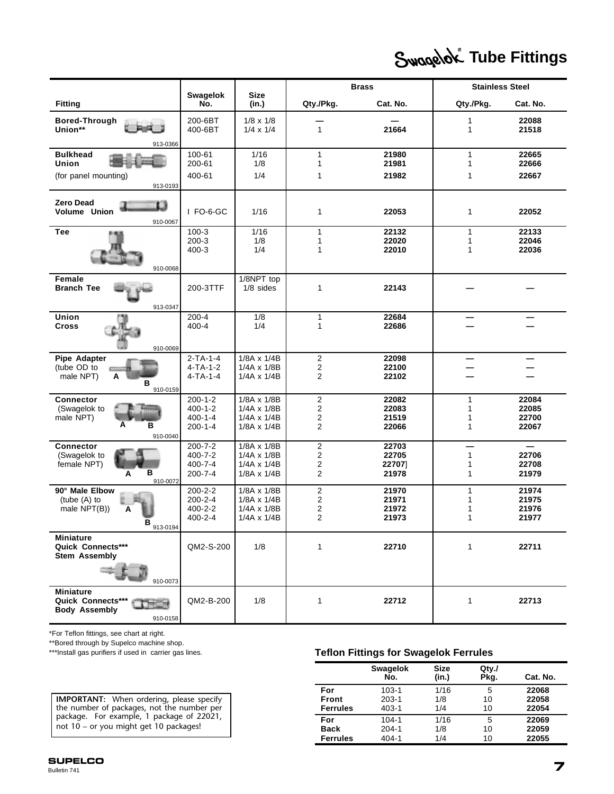# *<u>Swagelok</u>* Tube Fittings

|                                                                                       |                                                                  |                                                                        |                                                         | <b>Brass</b>                     | <b>Stainless Steel</b>                            |                                                     |
|---------------------------------------------------------------------------------------|------------------------------------------------------------------|------------------------------------------------------------------------|---------------------------------------------------------|----------------------------------|---------------------------------------------------|-----------------------------------------------------|
| <b>Fitting</b>                                                                        | <b>Swagelok</b><br>No.                                           | <b>Size</b><br>(in.)                                                   | Qty./Pkg.                                               | Cat. No.                         | Qty./Pkg.                                         | Cat. No.                                            |
| Bored-Through<br>Union**                                                              | 200-6BT<br>400-6BT                                               | $1/8 \times 1/8$<br>$1/4 \times 1/4$                                   | $\mathbf{1}$                                            | 21664                            | 1<br>1                                            | 22088<br>21518                                      |
| 913-0366<br><b>Bulkhead</b><br>Union                                                  | 100-61<br>200-61                                                 | 1/16<br>1/8                                                            | 1<br>1                                                  | 21980<br>21981                   | $\mathbf{1}$<br>1                                 | 22665<br>22666                                      |
| (for panel mounting)<br>913-0193                                                      | 400-61                                                           | 1/4                                                                    | 1                                                       | 21982                            | 1                                                 | 22667                                               |
| <b>Zero Dead</b><br>t 1<br>Volume Union<br>910-0067                                   | I FO-6-GC                                                        | 1/16                                                                   | 1                                                       | 22053                            | 1                                                 | 22052                                               |
| <b>Tee</b><br>910-0068                                                                | $100-3$<br>$200-3$<br>400-3                                      | 1/16<br>1/8<br>1/4                                                     | 1<br>1<br>1                                             | 22132<br>22020<br>22010          | 1<br>1<br>1                                       | 22133<br>22046<br>22036                             |
| <b>Female</b><br><b>Branch Tee</b><br>913-0347                                        | 200-3TTF                                                         | 1/8NPT top<br>$1/8$ sides                                              | 1                                                       | 22143                            |                                                   |                                                     |
| Union<br><b>Cross</b><br>910-0069                                                     | 200-4<br>400-4                                                   | 1/8<br>1/4                                                             | 1<br>1                                                  | 22684<br>22686                   |                                                   |                                                     |
| Pipe Adapter<br>(tube OD to<br>male NPT)<br>А<br>в<br>910-0159                        | $2-TA-1-4$<br>$4-TA-1-2$<br>$4-TA-1-4$                           | 1/8A x 1/4B<br>1/4A x 1/8B<br>$1/4A \times 1/4B$                       | 2<br>2<br>2                                             | 22098<br>22100<br>22102          |                                                   |                                                     |
| <b>Connector</b><br>(Swagelok to<br>male NPT)<br>A<br>в<br>910-0040                   | $200 - 1 - 2$<br>$400 - 1 - 2$<br>$400 - 1 - 4$<br>$200 - 1 - 4$ | 1/8A x 1/8B<br>1/4A x 1/8B<br>$1/4A \times 1/4B$<br>$1/8A \times 1/4B$ | $\overline{\mathbf{c}}$<br>2<br>2<br>2                  | 22082<br>22083<br>21519<br>22066 | $\mathbf{1}$<br>$\mathbf{1}$<br>1<br>$\mathbf{1}$ | 22084<br>22085<br>22700<br>22067                    |
| <b>Connector</b><br>(Swagelok to<br>female NPT)<br>в<br>A<br>910-0072                 | $200 - 7 - 2$<br>400-7-2<br>$400 - 7 - 4$<br>200-7-4             | 1/8A x 1/8B<br>1/4A x 1/8B<br>$1/4A \times 1/4B$<br>$1/8A \times 1/4B$ | $\overline{2}$<br>2<br>$\overline{2}$<br>$\overline{2}$ | 22703<br>22705<br>22707<br>21978 | $\mathbf{1}$<br>1<br>1                            | $\overline{\phantom{0}}$<br>22706<br>22708<br>21979 |
| 90° Male Elbow<br>(tube (A) to<br>male NPT(B))<br>A<br>913-0194                       | 200-2-2<br>$200 - 2 - 4$<br>400-2-2<br>400-2-4                   | 1/8A x 1/8B<br>1/8A x 1/4B<br>$1/4A \times 1/8B$<br>1/4A x 1/4B        | 2<br>2<br>2<br>2                                        | 21970<br>21971<br>21972<br>21973 | 1<br>1<br>1<br>1                                  | 21974<br>21975<br>21976<br>21977                    |
| <b>Miniature</b><br>Quick Connects***<br><b>Stem Assembly</b>                         | QM2-S-200                                                        | 1/8                                                                    | 1                                                       | 22710                            | 1                                                 | 22711                                               |
| 910-0073<br><b>Miniature</b><br>Quick Connects***<br><b>Body Assembly</b><br>910-0158 | QM2-B-200                                                        | 1/8                                                                    | 1                                                       | 22712                            | $\mathbf{1}$                                      | 22713                                               |

\*For Teflon fittings, see chart at right.

\*\*Bored through by Supelco machine shop.<br>\*\*\*Install gas purifiers if used in carrier gas lines.

**IMPORTANT:** When ordering, please specify the number of packages, not the number per package. For example, 1 package of 22021, not 10 – or you might get 10 packages!

#### **Teflon Fittings for Swagelok Ferrules.**

|                 | <b>Swagelok</b><br>No. | <b>Size</b><br>(in.) | $Q$ ty./<br>Pkg. | Cat. No. |
|-----------------|------------------------|----------------------|------------------|----------|
| For             | $103 - 1$              | 1/16                 | 5                | 22068    |
| Front           | $203 - 1$              | 1/8                  | 10               | 22058    |
| <b>Ferrules</b> | $403 - 1$              | 1/4                  | 10               | 22054    |
| For             | $104 - 1$              | 1/16                 | 5                | 22069    |
| <b>Back</b>     | $204 - 1$              | 1/8                  | 10               | 22059    |
| <b>Ferrules</b> | $404 - 1$              | 1/4                  | 10               | 22055    |